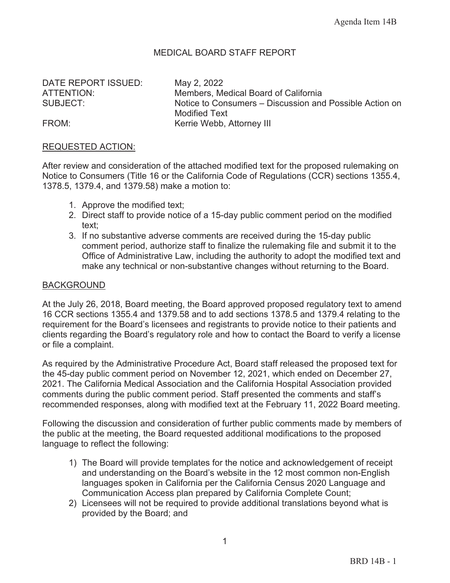## MEDICAL BOARD STAFF REPORT

DATE REPORT ISSUED: May 2, 2022

ATTENTION: Members, Medical Board of California SUBJECT: Notice to Consumers – Discussion and Possible Action on Modified Text FROM: The Metal Metal Kerrie Webb, Attorney III

#### REQUESTED ACTION:

After review and consideration of the attached modified text for the proposed rulemaking on Notice to Consumers (Title 16 or the California Code of Regulations (CCR) sections 1355.4, 1378.5, 1379.4, and 1379.58) make a motion to:

- 1. Approve the modified text;
- 2. Direct staff to provide notice of a 15-day public comment period on the modified text;
- 3. If no substantive adverse comments are received during the 15-day public comment period, authorize staff to finalize the rulemaking file and submit it to the Office of Administrative Law, including the authority to adopt the modified text and make any technical or non-substantive changes without returning to the Board.

#### BACKGROUND

At the July 26, 2018, Board meeting, the Board approved proposed regulatory text to amend 16 CCR sections 1355.4 and 1379.58 and to add sections 1378.5 and 1379.4 relating to the requirement for the Board's licensees and registrants to provide notice to their patients and clients regarding the Board's regulatory role and how to contact the Board to verify a license or file a complaint.

As required by the Administrative Procedure Act, Board staff released the proposed text for the 45-day public comment period on November 12, 2021, which ended on December 27, 2021. The California Medical Association and the California Hospital Association provided comments during the public comment period. Staff presented the comments and staff's recommended responses, along with modified text at the February 11, 2022 Board meeting.

Following the discussion and consideration of further public comments made by members of the public at the meeting, the Board requested additional modifications to the proposed language to reflect the following:

- 1) The Board will provide templates for the notice and acknowledgement of receipt and understanding on the Board's website in the 12 most common non-English languages spoken in California per the California Census 2020 Language and Communication Access plan prepared by California Complete Count;
- 2) Licensees will not be required to provide additional translations beyond what is provided by the Board; and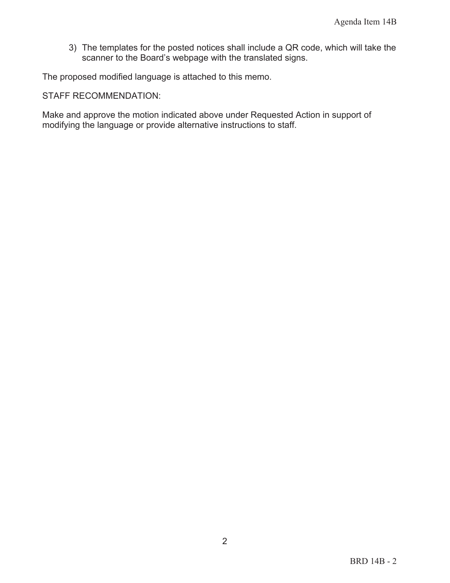3) The templates for the posted notices shall include a QR code, which will take the scanner to the Board's webpage with the translated signs.

The proposed modified language is attached to this memo.

STAFF RECOMMENDATION:

Make and approve the motion indicated above under Requested Action in support of modifying the language or provide alternative instructions to staff.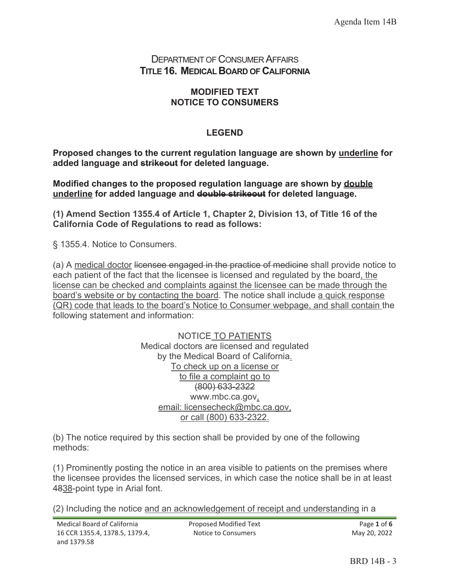## DEPARTMENT OF CONSUMER AFFAIRS **TITLE 16. MEDICAL BOARD OF CALIFORNIA**

### **MODIFIED TEXT NOTICE TO CONSUMERS**

### **LEGEND**

**Proposed changes to the current regulation language are shown by underline for added language and strikeout for deleted language.** 

**Modified changes to the proposed regulation language are shown by double underline for added language and double strikeout for deleted language.** 

**(1) Amend Section 1355.4 of Article 1, Chapter 2, Division 13, of Title 16 of the California Code of Regulations to read as follows:** 

§ 1355.4. Notice to Consumers.

(a) A medical doctor licensee engaged in the practice of medicine shall provide notice to each patient of the fact that the licensee is licensed and regulated by the board, the license can be checked and complaints against the licensee can be made through the board's website or by contacting the board. The notice shall include a quick response (QR) code that leads to the board's Notice to Consumer webpage, and shall contain the following statement and information:

> NOTICE TO PATIENTS Medical doctors are licensed and regulated by the Medical Board of California. To check up on a license or to file a complaint go to (800) 633-2322 www.mbc.ca.gov, email: licensecheck@mbc.ca.gov, or call (800) 633-2322.

(b) The notice required by this section shall be provided by one of the following methods:

(1) Prominently posting the notice in an area visible to patients on the premises where the licensee provides the licensed services, in which case the notice shall be in at least 4838-point type in Arial font.

(2) Including the notice and an acknowledgement of receipt and understanding in a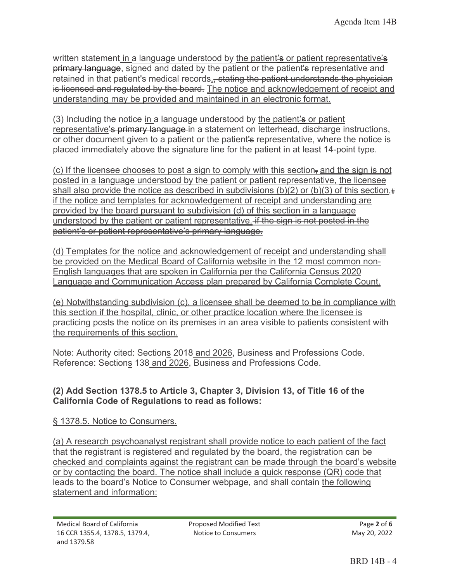written statement in a language understood by the patient's or patient representative's **primary language**, signed and dated by the patient or the patient's representative and retained in that patient's medical records., stating the patient understands the physician is licensed and regulated by the board. The notice and acknowledgement of receipt and understanding may be provided and maintained in an electronic format.

 $(3)$  Including the notice in a language understood by the patient  $\ddot{\bullet}$  or patient representative's primary language in a statement on letterhead, discharge instructions, or other document given to a patient or the patient's representative, where the notice is placed immediately above the signature line for the patient in at least 14-point type.

(c) If the licensee chooses to post a sign to comply with this section, and the sign is not posted in a language understood by the patient or patient representative, the licensee shall also provide the notice as described in subdivisions (b)(2) or (b)(3) of this section,# if the notice and templates for acknowledgement of receipt and understanding are provided by the board pursuant to subdivision (d) of this section in a language understood by the patient or patient representative. if the sign is not posted in the patient's or patient representative's primary language.

(d) Templates for the notice and acknowledgement of receipt and understanding shall be provided on the Medical Board of California website in the 12 most common non-English languages that are spoken in California per the California Census 2020 Language and Communication Access plan prepared by California Complete Count.

(e) Notwithstanding subdivision (c), a licensee shall be deemed to be in compliance with this section if the hospital, clinic, or other practice location where the licensee is practicing posts the notice on its premises in an area visible to patients consistent with the requirements of this section.

Note: Authority cited: Sections 2018 and 2026, Business and Professions Code. Reference: Sections 138 and 2026, Business and Professions Code.

# **(2) Add Section 1378.5 to Article 3, Chapter 3, Division 13, of Title 16 of the California Code of Regulations to read as follows:**

# § 1378.5. Notice to Consumers.

(a) A research psychoanalyst registrant shall provide notice to each patient of the fact that the registrant is registered and regulated by the board, the registration can be checked and complaints against the registrant can be made through the board's website or by contacting the board. The notice shall include a quick response (QR) code that leads to the board's Notice to Consumer webpage, and shall contain the following statement and information: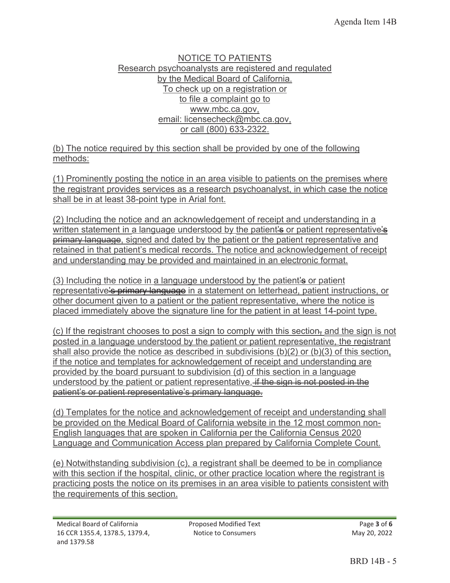#### NOTICE TO PATIENTS Research psychoanalysts are registered and regulated by the Medical Board of California. To check up on a registration or to file a complaint go to www.mbc.ca.gov, email: licensecheck@mbc.ca.gov, or call (800) 633-2322.

(b) The notice required by this section shall be provided by one of the following methods:

(1) Prominently posting the notice in an area visible to patients on the premises where the registrant provides services as a research psychoanalyst, in which case the notice shall be in at least 38-point type in Arial font.

(2) Including the notice and an acknowledgement of receipt and understanding in a written statement in a language understood by the patient's or patient representative's primary language, signed and dated by the patient or the patient representative and retained in that patient's medical records. The notice and acknowledgement of receipt and understanding may be provided and maintained in an electronic format.

(3) Including the notice in a language understood by the patient's or patient representative's primary language in a statement on letterhead, patient instructions, or other document given to a patient or the patient representative, where the notice is placed immediately above the signature line for the patient in at least 14-point type.

(c) If the registrant chooses to post a sign to comply with this section, and the sign is not posted in a language understood by the patient or patient representative, the registrant shall also provide the notice as described in subdivisions (b)(2) or (b)(3) of this section, if the notice and templates for acknowledgement of receipt and understanding are provided by the board pursuant to subdivision (d) of this section in a language understood by the patient or patient representative. if the sign is not posted in the patient's or patient representative's primary language.

(d) Templates for the notice and acknowledgement of receipt and understanding shall be provided on the Medical Board of California website in the 12 most common non-English languages that are spoken in California per the California Census 2020 Language and Communication Access plan prepared by California Complete Count.

(e) Notwithstanding subdivision (c), a registrant shall be deemed to be in compliance with this section if the hospital, clinic, or other practice location where the registrant is practicing posts the notice on its premises in an area visible to patients consistent with the requirements of this section.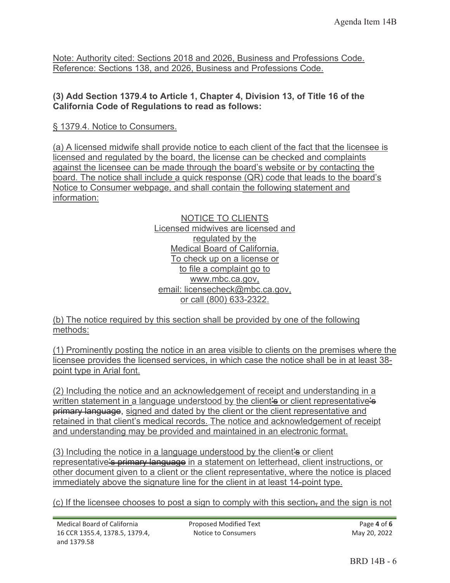Note: Authority cited: Sections 2018 and 2026, Business and Professions Code. Reference: Sections 138, and 2026, Business and Professions Code.

#### **(3) Add Section 1379.4 to Article 1, Chapter 4, Division 13, of Title 16 of the California Code of Regulations to read as follows:**

§ 1379.4. Notice to Consumers.

(a) A licensed midwife shall provide notice to each client of the fact that the licensee is licensed and regulated by the board, the license can be checked and complaints against the licensee can be made through the board's website or by contacting the board. The notice shall include a quick response (QR) code that leads to the board's Notice to Consumer webpage, and shall contain the following statement and information:

> NOTICE TO CLIENTS Licensed midwives are licensed and regulated by the Medical Board of California. To check up on a license or to file a complaint go to www.mbc.ca.gov, email: licensecheck@mbc.ca.gov, or call (800) 633-2322.

(b) The notice required by this section shall be provided by one of the following methods:

|                           | (1) Prominently posting the notice in an area visible to clients on the premises where the |  |  |  |  |  |
|---------------------------|--------------------------------------------------------------------------------------------|--|--|--|--|--|
|                           | licensee provides the licensed services, in which case the notice shall be in at least 38- |  |  |  |  |  |
| point type in Arial font. |                                                                                            |  |  |  |  |  |

(2) Including the notice and an acknowledgement of receipt and understanding in a written statement in a language understood by the client's or client representative's **primary language**, signed and dated by the client or the client representative and retained in that client's medical records. The notice and acknowledgement of receipt and understanding may be provided and maintained in an electronic format.

 $(3)$  Including the notice in a language understood by the client's or client representative's primary language in a statement on letterhead, client instructions, or other document given to a client or the client representative, where the notice is placed immediately above the signature line for the client in at least 14-point type.

(c) If the licensee chooses to post a sign to comply with this section, and the sign is not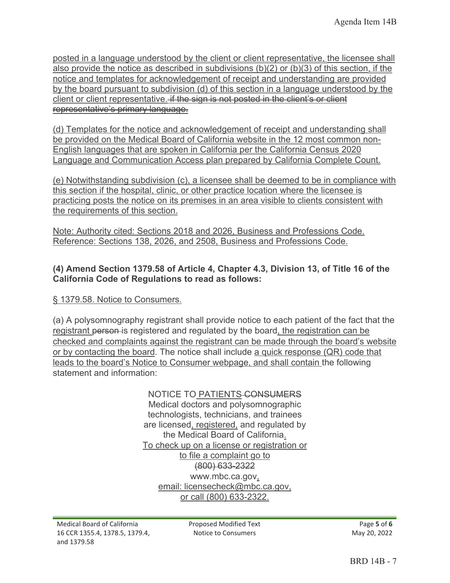posted in a language understood by the client or client representative, the licensee shall also provide the notice as described in subdivisions  $(b)(2)$  or  $(b)(3)$  of this section, if the notice and templates for acknowledgement of receipt and understanding are provided by the board pursuant to subdivision (d) of this section in a language understood by the client or client representative. if the sign is not posted in the client's or client representative's primary language.

(d) Templates for the notice and acknowledgement of receipt and understanding shall be provided on the Medical Board of California website in the 12 most common non-English languages that are spoken in California per the California Census 2020 Language and Communication Access plan prepared by California Complete Count.

(e) Notwithstanding subdivision (c), a licensee shall be deemed to be in compliance with this section if the hospital, clinic, or other practice location where the licensee is practicing posts the notice on its premises in an area visible to clients consistent with the requirements of this section.

Note: Authority cited: Sections 2018 and 2026, Business and Professions Code. Reference: Sections 138, 2026, and 2508, Business and Professions Code.

### **(4) Amend Section 1379.58 of Article 4, Chapter 4.3, Division 13, of Title 16 of the California Code of Regulations to read as follows:**

§ 1379.58. Notice to Consumers.

(a) A polysomnography registrant shall provide notice to each patient of the fact that the registrant person is registered and regulated by the board, the registration can be checked and complaints against the registrant can be made through the board's website or by contacting the board. The notice shall include a quick response (QR) code that leads to the board's Notice to Consumer webpage, and shall contain the following statement and information:

> NOTICE TO PATIENTS-CONSUMERS Medical doctors and polysomnographic technologists, technicians, and trainees are licensed, registered, and regulated by the Medical Board of California. To check up on a license or registration or to file a complaint go to (800) 633-2322 www.mbc.ca.gov, email: licensecheck@mbc.ca.gov, or call (800) 633-2322.